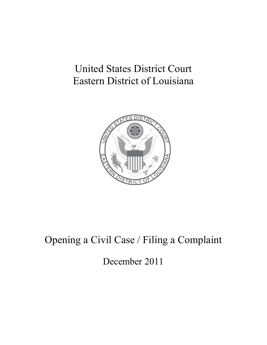# United States District Court Eastern District of Louisiana



# Opening a Civil Case / Filing a Complaint

December 2011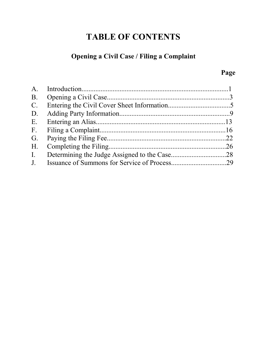## **TABLE OF CONTENTS**

#### **Opening a Civil Case / Filing a Complaint**

## **Page**

| D.             |  |
|----------------|--|
|                |  |
| F.             |  |
| G.             |  |
| $H_{\cdot}$    |  |
| $\mathbf{I}$ . |  |
|                |  |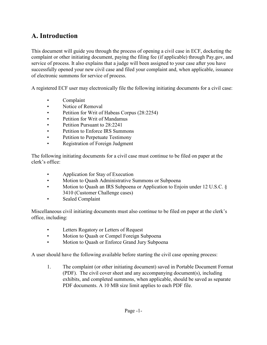### **A. Introduction**

This document will guide you through the process of opening a civil case in ECF, docketing the complaint or other initiating document, paying the filing fee (if applicable) through Pay.gov, and service of process. It also explains that a judge will been assigned to your case after you have successfully opened your new civil case and filed your complaint and, when applicable, issuance of electronic summons for service of process.

A registered ECF user may electronically file the following initiating documents for a civil case:

- Complaint
- Notice of Removal
- Petition for Writ of Habeas Corpus (28:2254)
- Petition for Writ of Mandamus
- Petition Pursuant to 28:2241
- Petition to Enforce IRS Summons
- Petition to Perpetuate Testimony
- Registration of Foreign Judgment

The following initiating documents for a civil case must continue to be filed on paper at the clerk's office:

- Application for Stay of Execution
- Motion to Quash Administrative Summons or Subpoena
- Motion to Quash an IRS Subpoena or Application to Enjoin under 12 U.S.C. § 3410 (Customer Challenge cases)
- Sealed Complaint

Miscellaneous civil initiating documents must also continue to be filed on paper at the clerk's office, including:

- Letters Rogatory or Letters of Request
- Motion to Quash or Compel Foreign Subpoena
- Motion to Quash or Enforce Grand Jury Subpoena

A user should have the following available before starting the civil case opening process:

1. The complaint (or other initiating document) saved in Portable Document Format (PDF). The civil cover sheet and any accompanying document(s), including exhibits, and completed summons, when applicable, should be saved as separate PDF documents. A 10 MB size limit applies to each PDF file.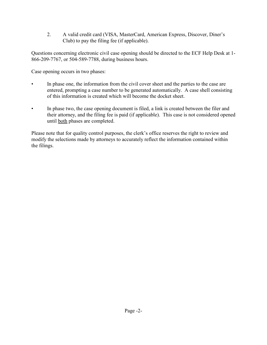2. A valid credit card (VISA, MasterCard, American Express, Discover, Diner's Club) to pay the filing fee (if applicable).

Questions concerning electronic civil case opening should be directed to the ECF Help Desk at 1- 866-209-7767, or 504-589-7788, during business hours.

Case opening occurs in two phases:

- In phase one, the information from the civil cover sheet and the parties to the case are entered, prompting a case number to be generated automatically. A case shell consisting of this information is created which will become the docket sheet.
- In phase two, the case opening document is filed, a link is created between the filer and their attorney, and the filing fee is paid (if applicable). This case is not considered opened until both phases are completed.

Please note that for quality control purposes, the clerk's office reserves the right to review and modify the selections made by attorneys to accurately reflect the information contained within the filings.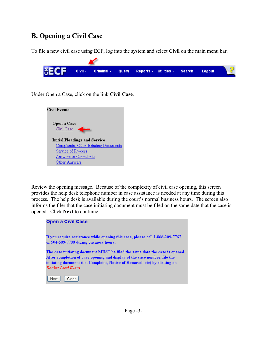## **B. Opening a Civil Case**

To file a new civil case using ECF, log into the system and select **Civil** on the main menu bar.



Under Open a Case, click on the link **Civil Case**.



Review the opening message. Because of the complexity of civil case opening, this screen provides the help desk telephone number in case assistance is needed at any time during this process. The help desk is available during the court's normal business hours. The screen also informs the filer that the case initiating document must be filed on the same date that the case is opened.Click **Next** to continue.

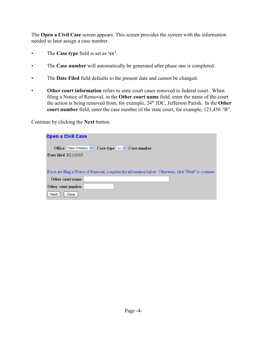The **Open a Civil Case** screen appears. This screen provides the system with the information needed to later assign a case number.

- The **Case type** field is set as **'cv'**.
- The **Case number** will automatically be generated after phase one is completed.
- The **Date Filed** field defaults to the present date and cannot be changed.
- **Other court information** refers to state court cases removed to federal court. When filing a Notice of Removal, in the **Other court name** field, enter the name of the court the action is being removed from, for example, 24<sup>th</sup> JDC, Jefferson Parish. In the **Other court number** field, enter the case number of the state court, for example, 123,456 "B".

Continue by clicking the **Next** button.

| <b>Open a Civil Case</b>                                                                                    |
|-------------------------------------------------------------------------------------------------------------|
| Office New Orleans $\vee$ Case type $\vee$ $\vee$ Case number                                               |
| <b>Date filed 8/21/2009</b>                                                                                 |
|                                                                                                             |
| If you are filing a Notice of Removal, complete the information below. Otherwise, click "Next" to continue. |
| Other court name                                                                                            |
| Other court number                                                                                          |
| Clear<br>Next                                                                                               |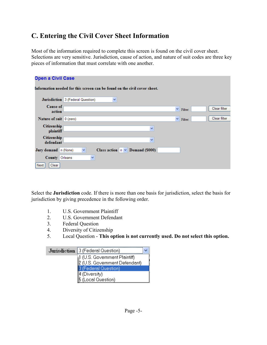## **C. Entering the Civil Cover Sheet Information**

Most of the information required to complete this screen is found on the civil cover sheet. Selections are very sensitive. Jurisdiction, cause of action, and nature of suit codes are three key pieces of information that must correlate with one another.

| <b>Open a Civil Case</b>                                                  |                                                      |  |  |  |  |  |
|---------------------------------------------------------------------------|------------------------------------------------------|--|--|--|--|--|
| Information needed for this screen can be found on the civil cover sheet. |                                                      |  |  |  |  |  |
|                                                                           | Jurisdiction 3 (Federal Question)<br>$\checkmark$    |  |  |  |  |  |
| Cause of<br>action                                                        | Clear filter<br>$\checkmark$<br>Filter:              |  |  |  |  |  |
| Nature of suit 0 (zero)                                                   | Clear filter<br>×<br>Filter:                         |  |  |  |  |  |
| <b>Citizenship</b><br>plaintiff                                           | v                                                    |  |  |  |  |  |
| <b>Citizenship</b><br>defendant                                           | v                                                    |  |  |  |  |  |
| Jury demand n (None)                                                      | Class action $n \vee$ Demand (\$000)<br>$\checkmark$ |  |  |  |  |  |
| County                                                                    | v<br>Orleans                                         |  |  |  |  |  |
| Clear<br>Next                                                             |                                                      |  |  |  |  |  |

Select the **Jurisdiction** code. If there is more than one basis for jurisdiction, select the basis for jurisdiction by giving precedence in the following order.

- 1. U.S. Government Plaintiff
- 2. U.S. Government Defendant
- 3. Federal Question
- 4. Diversity of Citizenship
- 5. Local Question **This option is not currently used. Do not select this option.**

| Jurisdiction 3 (Federal Question) |  |  |  |  |
|-----------------------------------|--|--|--|--|
| 1 (U.S. Government Plaintiff)     |  |  |  |  |
| 2 (U.S. Government Defendant)     |  |  |  |  |
| 3 (Federal Question),             |  |  |  |  |
| 4 (Diversity)                     |  |  |  |  |
| 5 (Local Question)                |  |  |  |  |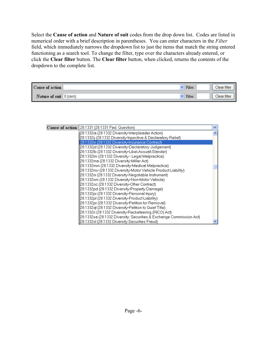Select the **Cause of action** and **Nature of suit** codes from the drop down list. Codes are listed in numerical order with a brief description in parentheses. You can enter characters in the *Filter* field, which immediately narrows the dropdown list to just the items that match the string entered functioning as a search tool. To change the filter, type over the characters already entered, or click the **Clear filter** button. The **Clear filter** button, when clicked, returns the contents of the dropdown to the complete list.

| Cause of action |            | Filter: | Clear filter |
|-----------------|------------|---------|--------------|
| Nature of suit  | l 0 (zero) | Filter: | Clear filter |

| Cause of action 28:1331 (28:1331 Fed. Question)                     |  |  |
|---------------------------------------------------------------------|--|--|
| 28:1332ia (28:1332 Diversity-Interpleader Action)                   |  |  |
| 28:1332ij (28:1332 Diversity-Injunctive & Declaratory Relief)       |  |  |
| 28:1332in (28:1332 Diversity-Insurance Contract)                    |  |  |
| 28:1332id (28:1332 Diversity-Declaratory Judgement)                 |  |  |
| 28:1332lb (28:1332 Diversity-Libel,Assualt,Slander)                 |  |  |
| 28:1332Im (28:1332 Diversity - Legal Malpractice)                   |  |  |
| 28:1332ma (28:1332 Diversity-Miller Act)                            |  |  |
| 28:1332mm (28:1332 Diversity-Medical Malpractice)                   |  |  |
| 28:1332mv (28:1332 Diversity-Motor Vehicle Product Liability)       |  |  |
| 28:1332ni (28:1332 Diversity-Negotiable Instrument)                 |  |  |
| 28:1332nm (28:1332 Diversity-Non-Motor Vehicle)                     |  |  |
| 28:1332oc (28:1332 Diversity-Other Contract)                        |  |  |
| 28:1332pd (28:1332 Diversity-Property Damage)                       |  |  |
| 28:1332pi (28:1332 Diversity-Personal Injury)                       |  |  |
| 28:1332pl (28:1332 Diversity-Product Liability)                     |  |  |
| 28:1332pr (28:1332 Diversity-Petition for Removal)                  |  |  |
| 28:1332qt (28:1332 Diversity-Petition to Quiet Title)               |  |  |
| 28:1332ri (28:1332 Diversity-Racketeering (RICO) Act)               |  |  |
| 28:1332sa (28:1332 Diversity: Securities & Exchange Commission Act) |  |  |
| 28:1332sf (28:1332 Diversity:Securities Fraud)                      |  |  |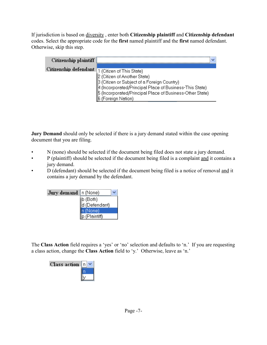If jurisdiction is based on diversity , enter both **Citizenship plaintiff** and **Citizenship defendant** codes. Select the appropriate code for the **first** named plaintiff and the **first** named defendant. Otherwise, skip this step.

| Citizenship plaintiff |                                                          |
|-----------------------|----------------------------------------------------------|
| Citizenship defendant | 1 (Citizen of This State)                                |
|                       | 2 (Citizen of Another State)                             |
|                       | 3 (Citizen or Subject of a Foreign Country)              |
|                       | 4 (Incorporated/Principal Place of Business-This State)  |
|                       | 5 (Incorporated/Principal Place of Business-Other State) |
|                       | 6 (Foreign Nation)                                       |

**Jury Demand** should only be selected if there is a jury demand stated within the case opening document that you are filing.

- N (none) should be selected if the document being filed does not state a jury demand.
- P (plaintiff) should be selected if the document being filed is a complaint and it contains a jury demand.
- D (defendant) should be selected if the document being filed is a notice of removal and it contains a jury demand by the defendant.

| Jury demand n (None) |               |
|----------------------|---------------|
|                      | ∣b (Both)     |
|                      | d (Defendant) |
|                      | n (None)      |
|                      | p (Plaintiff) |

The **Class Action** field requires a 'yes' or 'no' selection and defaults to 'n.' If you are requesting a class action, change the **Class Action** field to 'y.' Otherwise, leave as 'n.'

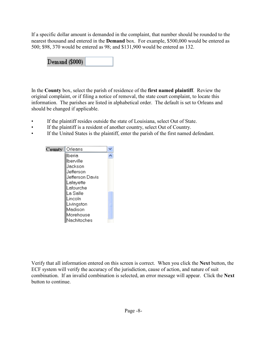If a specific dollar amount is demanded in the complaint, that number should be rounded to the nearest thousand and entered in the **Demand** box. For example, \$500,000 would be entered as 500; \$98, 370 would be entered as 98; and \$131,900 would be entered as 132.

Demand (\$000)

In the **County** box, select the parish of residence of the **first named plaintiff**. Review the original complaint, or if filing a notice of removal, the state court complaint, to locate this information. The parishes are listed in alphabetical order. The default is set to Orleans and should be changed if applicable.

- If the plaintiff resides outside the state of Louisiana, select Out of State.
- If the plaintiff is a resident of another country, select Out of Country.
- If the United States is the plaintiff, enter the parish of the first named defendant.

| County | ∥Orleans        |
|--------|-----------------|
|        | lberia          |
|        | lberville       |
|        | Uackson         |
|        | Uefferson       |
|        | Jefferson Davis |
|        | Lafayette       |
|        | Lafourche       |
|        | La Salle        |
|        | Lincoln         |
|        | Livingston      |
|        | Madison         |
|        | Morehouse       |
|        | Nachitoches     |

Verify that all information entered on this screen is correct. When you click the **Next** button, the ECF system will verify the accuracy of the jurisdiction, cause of action, and nature of suit combination. If an invalid combination is selected, an error message will appear. Click the **Next** button to continue.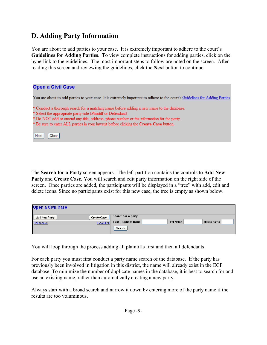#### **D. Adding Party Information**

You are about to add parties to your case. It is extremely important to adhere to the court's **Guidelines for Adding Parties**. To view complete instructions for adding parties, click on the hyperlink to the guidelines. The most important steps to follow are noted on the screen. After reading this screen and reviewing the guidelines, click the **Next** button to continue.

| <b>Open a Civil Case</b>                                                                                                                                                                                                                              |
|-------------------------------------------------------------------------------------------------------------------------------------------------------------------------------------------------------------------------------------------------------|
| You are about to add parties to your case. It is extremely important to adhere to the court's Guidelines for Adding Parties                                                                                                                           |
| * Conduct a thorough search for a matching name before adding a new name to the database.<br>* Select the appropriate party role (Plaintiff or Defendant)<br>* Do NOT add or amend any title, address, phone number or fax information for the party. |
| * Be sure to enter ALL parties in your lawsuit before clicking the Create Case button.<br>Next<br>Clear                                                                                                                                               |

The **Search for a Party** screen appears. The left partition contains the controls to **Add New Party** and **Create Case**. You will search and edit party information on the right side of the screen. Once parties are added, the participants will be displayed in a "tree" with add, edit and delete icons. Since no participants exist for this new case, the tree is empty as shown below.

| <b>Open a Civil Case</b>                                          |                                                                                                 |
|-------------------------------------------------------------------|-------------------------------------------------------------------------------------------------|
| <b>Create Case</b><br>Add New Party<br>Expand All<br>Collapse All | Search for a party<br><b>First Name</b><br>Middle Name<br><b>Last / Business Name</b><br>Search |

You will loop through the process adding all plaintiffs first and then all defendants.

For each party you must first conduct a party name search of the database. If the party has previously been involved in litigation in this district, the name will already exist in the ECF database. To minimize the number of duplicate names in the database, it is best to search for and use an existing name, rather than automatically creating a new party.

Always start with a broad search and narrow it down by entering more of the party name if the results are too voluminous.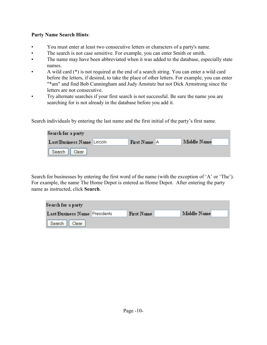#### **Party Name Search Hints**:

- You must enter at least two consecutive letters or characters of a party's name.
- The search is not case sensitive. For example, you can enter Smith or smith.
- The name may have been abbreviated when it was added to the database, especially state names.
- A wild card (\*) is not required at the end of a search string. You can enter a wild card before the letters, if desired, to take the place of other letters. For example, you can enter "\*am" and find Bob Cunningham and Judy Amstutz but not Dick Armstrong since the letters are not consecutive.
- Try alternate searches if your first search is not successful. Be sure the name you are searching for is not already in the database before you add it.

Search individuals by entering the last name and the first initial of the party's first name.

| Search for a party         |  |              |  |             |  |  |
|----------------------------|--|--------------|--|-------------|--|--|
| Last/Business Name Lincoln |  | First Name A |  | Middle Name |  |  |
| Search   <br>Clear         |  |              |  |             |  |  |

Search for businesses by entering the first word of the name (with the exception of 'A' or 'The'). For example, the name The Home Depot is entered as Home Depot. After entering the party name as instructed, click **Search**.

| Search for a party i                 |                   |             |  |
|--------------------------------------|-------------------|-------------|--|
| <b>Last/Business Name Presidents</b> | <b>First Name</b> | Middle Name |  |
| Search<br>Clear                      |                   |             |  |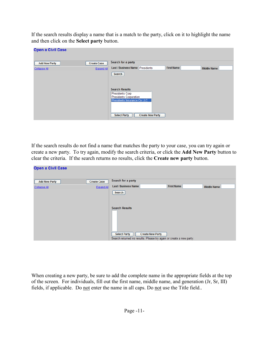If the search results display a name that is a match to the party, click on it to highlight the name and then click on the **Select party** button.

| <b>Open a Civil Case</b> |                    |                                                                            |
|--------------------------|--------------------|----------------------------------------------------------------------------|
| <b>Add New Party</b>     | <b>Create Case</b> | Search for a party                                                         |
| <b>Collapse All</b>      | Expand All         | Last / Business Name Presidents<br><b>First Name</b><br><b>Middle Name</b> |
|                          |                    | Search                                                                     |
|                          |                    | <b>Search Results</b>                                                      |
|                          |                    | Presidents Corp                                                            |
|                          |                    | Presidents Corporation<br>Presidents Insurance Co LLC                      |
|                          |                    | <b>Create New Party</b><br><b>Select Party</b>                             |

If the search results do not find a name that matches the party to your case, you can try again or create a new party. To try again, modify the search criteria, or click the **Add New Party** button to clear the criteria. If the search returns no results, click the **Create new party** button.

| Open a Civil Case                    |                                         |                                                                                                                                                |                    |
|--------------------------------------|-----------------------------------------|------------------------------------------------------------------------------------------------------------------------------------------------|--------------------|
| <b>Add New Party</b><br>Collapse All | <b>Create Case</b><br><b>Expand All</b> | Search for a party<br><b>Last / Business Name</b><br><b>First Name</b><br>Search                                                               | <b>Middle Name</b> |
|                                      |                                         | <b>Search Results</b><br><b>Select Party</b><br><b>Create New Party</b><br>Search returned no results. Please try again or create a new party. |                    |

When creating a new party, be sure to add the complete name in the appropriate fields at the top of the screen. For individuals, fill out the first name, middle name, and generation (Jr, Sr, III) fields, if applicable. Do not enter the name in all caps. Do not use the Title field..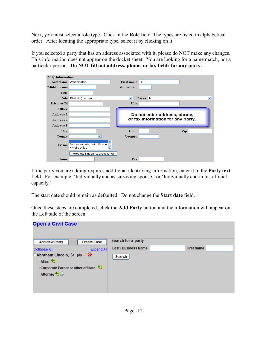Next, you must select a role type. Click in the **Role** field. The types are listed in alphabetical order. After locating the appropriate type, select it by clicking on it.

If you selected a party that has an address associated with it, please do NOT make any changes. This information does not appear on the docket sheet. You are looking for a name match, not a particular person. **Do NOT fill out address, phone, or fax fields for any party.** 

| Party Information  |                                                   |                                |                                   |
|--------------------|---------------------------------------------------|--------------------------------|-----------------------------------|
|                    | Last name Washington                              | First name R                   |                                   |
| Middle name        |                                                   | Generation                     |                                   |
| Title              |                                                   |                                |                                   |
| Role               | Plaintiff (pla:pty)                               | $\checkmark$<br>Pro se<br>  No | $\checkmark$                      |
| <b>Prisoner Id</b> |                                                   | Unit                           |                                   |
| Office             |                                                   |                                |                                   |
| Address 1          |                                                   |                                | Do not enter address, phone,      |
| Address 2          |                                                   |                                | or fax information for any party. |
| Address 3          |                                                   |                                |                                   |
| City               |                                                   | <b>State</b>                   | Zip                               |
| County             | ×                                                 | Country                        |                                   |
| Prison             | ㅅ<br>Not Associated with Prison<br>- Mei's office |                                |                                   |
|                    | Populate Prison Address Lines                     |                                |                                   |
| Phone              |                                                   | Fax                            |                                   |

If the party you are adding requires additional identifying information, enter it in the **Party text** field. For example, 'Individually and as surviving spouse,' or 'Individually and in his official capacity.'

The start date should remain as defaulted. Do not change the **Start date** field. .

Once these steps are completed, click the **Add Party** button and the information will appear on the Left side of the screen.

| <b>Open a Civil Case</b>                                                                                |                             |                   |  |
|---------------------------------------------------------------------------------------------------------|-----------------------------|-------------------|--|
| <b>Create Case</b><br><b>Add New Party</b>                                                              | Search for a party          |                   |  |
| Expand All<br>Collapse All                                                                              | <b>Last / Business Name</b> | <b>First Name</b> |  |
| □ Abraham Lincoln, Sr pla / ※<br>Alias <sup>6</sup><br>Corporate Parent or other affiliate <sup>8</sup> | Search                      |                   |  |
| Attorney <sup>1</sup> 8                                                                                 |                             |                   |  |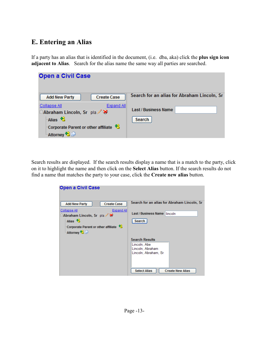#### **E. Entering an Alias**

If a party has an alias that is identified in the document, (i.e. dba, aka) click the **plus sign icon adjacent to Alias**. Search for the alias name the same way all parties are searched.

| <b>Open a Civil Case</b>                                                                                                                                                                                                           |                                                                                      |
|------------------------------------------------------------------------------------------------------------------------------------------------------------------------------------------------------------------------------------|--------------------------------------------------------------------------------------|
| <b>Create Case</b><br><b>Add New Party</b><br><b>Collapse All</b><br>Expand All<br><b>EAbraham Lincoln, Sr</b> pla / <b>×</b><br>Alias <sup>8</sup><br>Corporate Parent or other affiliate <sup>8</sup><br>Attorney <sup>1</sup> 8 | Search for an alias for Abraham Lincoln, Sr<br><b>Last / Business Name</b><br>Search |

Search results are displayed. If the search results display a name that is a match to the party, click on it to highlight the name and then click on the **Select Alias** button. If the search results do not find a name that matches the party to your case, click the **Create new alias** button.

| <b>Open a Civil Case</b>                       |                                                |
|------------------------------------------------|------------------------------------------------|
|                                                |                                                |
|                                                |                                                |
| <b>Create Case</b><br><b>Add New Party</b>     | Search for an alias for Abraham Lincoln, Sr    |
| Collapse All<br><b>Expand All</b>              |                                                |
| <b>EAbraham Lincoln, Sr</b> pla 2 <sup>8</sup> | Last / Business Name<br><b>Ilincoln</b>        |
| Alias <sup>8</sup>                             | Search                                         |
| Corporate Parent or other affiliate            |                                                |
| <sup>18</sup> Attorney <sup>18</sup>           |                                                |
|                                                |                                                |
|                                                | <b>Search Results</b>                          |
|                                                | Lincoln, Abe                                   |
|                                                | Lincoln, Abraham                               |
|                                                | Lincoln, Abraham, Sr                           |
|                                                |                                                |
|                                                |                                                |
|                                                |                                                |
|                                                | <b>Select Alias</b><br><b>Create New Alias</b> |
|                                                |                                                |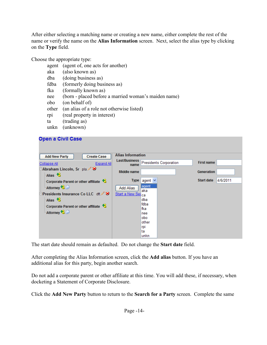After either selecting a matching name or creating a new name, either complete the rest of the name or verify the name on the **Alias Information** screen. Next, select the alias type by clicking on the **Type** field.

Choose the appropriate type:

| (agent of, one acts for another)                     |
|------------------------------------------------------|
| (also known as)                                      |
| (doing business as)                                  |
| (formerly doing business as)                         |
| (formally known as)                                  |
| (born - placed before a married woman's maiden name) |
| (on behalf of)                                       |
| (an alias of a role not otherwise listed)            |
| (real property in interest)                          |
| (trading as)                                         |
|                                                      |

#### unkn (unknown)

#### **Open a Civil Case**

The start date should remain as defaulted. Do not change the **Start date** field.

After completing the Alias Information screen, click the **Add alias** button. If you have an additional alias for this party, begin another search.

Do not add a corporate parent or other affiliate at this time. You will add these, if necessary, when docketing a Statement of Corporate Disclosure.

Click the **Add New Party** button to return to the **Search for a Party** screen. Complete the same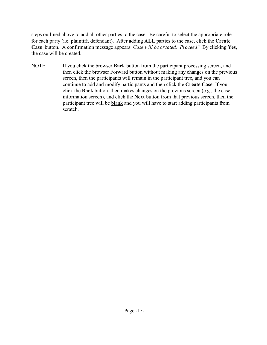steps outlined above to add all other parties to the case. Be careful to select the appropriate role for each party (i.e. plaintiff, defendant). After adding **ALL** parties to the case, click the **Create Case** button. A confirmation message appears: *Case will be created. Proceed?* By clicking **Yes**, the case will be created.

NOTE: If you click the browser **Back** button from the participant processing screen, and then click the browser Forward button without making any changes on the previous screen, then the participants will remain in the participant tree, and you can continue to add and modify participants and then click the **Create Case**. If you click the **Back** button, then makes changes on the previous screen (e.g., the case information screen), and click the **Next** button from that previous screen, then the participant tree will be blank and you will have to start adding participants from scratch.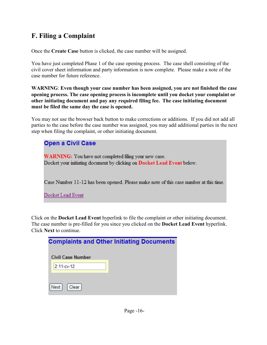## **F. Filing a Complaint**

Once the **Create Case** button is clicked, the case number will be assigned.

You have just completed Phase 1 of the case opening process. The case shell consisting of the civil cover sheet information and party information is now complete. Please make a note of the case number for future reference.

**WARNING**: **Even though your case number has been assigned, you are not finished the case opening process. The case opening process is incomplete until you docket your complaint or other initiating document and pay any required filing fee. The case initiating document must be filed the same day the case is opened.** 

You may not use the browser back button to make corrections or additions. If you did not add all parties to the case before the case number was assigned, you may add additional parties in the next step when filing the complaint, or other initiating document.

| <b>Open a Civil Case</b>                                                                                                         |
|----------------------------------------------------------------------------------------------------------------------------------|
| WARNING: You have not completed filing your new case.<br>Docket your initiating document by clicking on Docket Lead Event below. |
| Case Number 11-12 has been opened. Please make note of this case number at this time.                                            |
| Docket Lead Event                                                                                                                |

Click on the **Docket Lead Event** hyperlink to file the complaint or other initiating document. The case number is pre-filled for you since you clicked on the **Docket Lead Event** hyperlink. Click **Next** to continue.

| <b>Complaints and Other Initiating Documents</b> |
|--------------------------------------------------|
| <b>Civil Case Number</b>                         |
| $2:11-cv-12$                                     |
|                                                  |
| Clear <sup>1</sup><br>Next                       |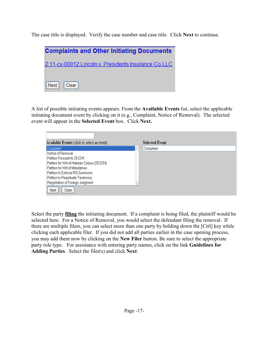The case title is displayed. Verify the case number and case title. Click **Next** to continue.

| <b>Complaints and Other Initiating Documents</b>     |
|------------------------------------------------------|
| 2:11-cv-00012 Lincoln v. Presidents Insurance Co LLC |
|                                                      |
| $Next  $ Clear                                       |

A list of possible initiating events appears. From the **Available Events** list, select the applicable initiating document event by clicking on it (e.g., Complaint, Notice of Removal). The selected event will appear in the **Selected Event** box. Click **Next.**

| Available Events (click to select an event)  | <b>Selected Event</b> |
|----------------------------------------------|-----------------------|
|                                              |                       |
| Complaint                                    | Complaint             |
| Notice of Removal                            |                       |
| Petition Pursuant to 28:2241                 |                       |
| Petition for Writ of Habeas Corpus (28:2254) |                       |
| Petition for Writ of Mandamus                |                       |
| Petition to Enforce IRS Summons              |                       |
| Petition to Perpetuate Testimony             |                       |
| Registration of Foreign Judgment             |                       |
| Clear<br>Next                                |                       |

Select the party **filing** the initiating document. If a complaint is being filed, the plaintiff would be selected here. For a Notice of Removal, you would select the defendant filing the removal. If there are multiple filers, you can select more than one party by holding down the [Ctrl] key while clicking each applicable filer. If you did not add all parties earlier in the case opening process, you may add them now by clicking on the **New Filer** button. Be sure to select the appropriate party role type. For assistance with entering party names, click on the link **Guidelines for Adding Parties**. Select the filer(s) and click **Next**.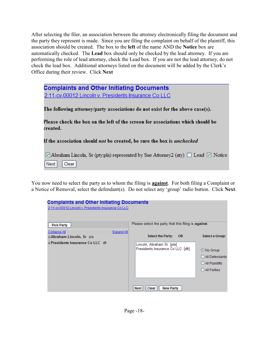After selecting the filer, an association between the attorney electronically filing the document and the party they represent is made. Since you are filing the complaint on behalf of the plaintiff, this association should be created. The box to the **left** of the name AND the **Notice** box are automatically checked. The **Lead** box should only be checked by the lead attorney. If you are performing the role of lead attorney, check the Lead box. If you are not the lead attorney, do not check the lead box. Additional attorneys listed on the document will be added by the Clerk's Office during their review. Click **Next**

| <b>Complaints and Other Initiating Documents</b>                                                                  |
|-------------------------------------------------------------------------------------------------------------------|
| 2:11-cv-00012 Lincoln v. Presidents Insurance Co LLC                                                              |
|                                                                                                                   |
| The following attorney/party associations do not exist for the above case(s).                                     |
| Please check the box on the left of the screen for associations which should be<br>created.                       |
| If the association should <i>not</i> be created, be sure the box is <i>unchecked</i>                              |
| $\Box$ Abraham Lincoln, Sr (ptypla) represented by Sue Attorney 2(aty) $\Box$ Lead $\Box$ Notice<br>Clear<br>Next |

You now need to select the party as to whom the filing is **against**. For both filing a Complaint or a Notice of Removal, select the defendant(s). Do not select any 'group' radio button. Click **Next**.

| <b>Complaints and Other Initiating Documents</b>     |                   |                                                                |                                                                   |
|------------------------------------------------------|-------------------|----------------------------------------------------------------|-------------------------------------------------------------------|
| 2:11-cv-00012 Lincoln v. Presidents Insurance Co LLC |                   |                                                                |                                                                   |
| <b>Pick Party</b>                                    |                   | Please select the party that this filing is against.           |                                                                   |
| Collapse All                                         | <b>Expand All</b> |                                                                |                                                                   |
| ⊞ <b>Abraham Lincoln, Sr</b> pla                     |                   | <b>Select the Party:</b><br><b>OR</b>                          | Select a Group:                                                   |
| <b>EPresidents Insurance Co LLC</b> dft              |                   | Lincoln, Abraham Sr [pla]<br>Presidents Insurance Co LLC [dft] | ⊙ No Group<br>All Defendants<br>O All Plaintiffs<br>O All Parties |
|                                                      |                   | Clear<br><b>New Party</b><br><b>Next</b>                       |                                                                   |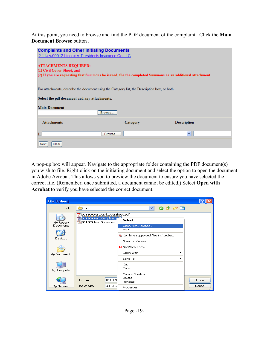At this point, you need to browse and find the PDF document of the complaint. Click the **Main Document Browse** button .

| <b>Complaints and Other Initiating Documents</b><br>2:11-cv-00012 Lincoln v. Presidents Insurance Co LLC                                                                |          |                    |
|-------------------------------------------------------------------------------------------------------------------------------------------------------------------------|----------|--------------------|
| <b>ATTACHMENTS REQUIRED:</b><br>(1) Civil Cover Sheet, and<br>(2) If you are requesting that Summons be issued, file the completed Summons as an additional attachment. |          |                    |
| For attachments, describe the document using the Category list, the Description box, or both.<br>Select the pdf document and any attachments.<br><b>Main Document</b>   |          |                    |
| Browse<br><b>Attachments</b>                                                                                                                                            | Category | <b>Description</b> |
| ı<br>Browse                                                                                                                                                             |          | $\checkmark$       |
| Clear<br>Next                                                                                                                                                           |          |                    |

A pop-up box will appear. Navigate to the appropriate folder containing the PDF document(s) you wish to file. Right-click on the initiating document and select the option to open the document in Adobe Acrobat. This allows you to preview the document to ensure you have selected the correct file. (Remember, once submitted, a document cannot be edited.) Select **Open with Acrobat** to verify you have selected the correct document.

| <b>File Upload</b> |                                                                                                     |                                                            |                |
|--------------------|-----------------------------------------------------------------------------------------------------|------------------------------------------------------------|----------------|
| Look in:           | Test                                                                                                | $\bullet$ $\bullet$ $\circ$ $\circ$ $\circ$<br>×.          |                |
| My Recent          | 011809.test.CivilCoverSheet.pdf<br>011809.test.Complaint.g<br>$\mathbb{R}$ 011809, test, Summons, p | Select                                                     |                |
| Documents          |                                                                                                     | Open with Acrobat 8<br>Print                               |                |
| Desktop            |                                                                                                     | the Combine supported files in Acrobat<br>Scan for Viruses |                |
|                    |                                                                                                     | N NetWare Copy                                             |                |
| My Documents       |                                                                                                     | Open With                                                  |                |
| My Computer        |                                                                                                     | Send To<br>Cut<br>Copy                                     |                |
|                    |                                                                                                     | Create Shortcut<br>Delete                                  |                |
|                    | 011809<br>File name:                                                                                | Rename                                                     | Open<br>Cancel |
| My Network         | Files of type:<br>All Files                                                                         | Properties                                                 |                |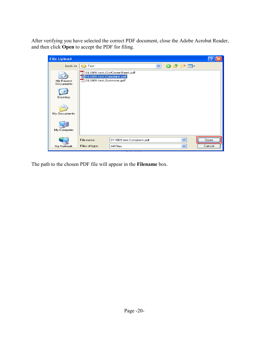After verifying you have selected the correct PDF document, close the Adobe Acrobat Reader, and then click **Open** to accept the PDF for filing.

| <b>File Upload</b>     |                                                                                           |                           |              |                     |              |         |        |
|------------------------|-------------------------------------------------------------------------------------------|---------------------------|--------------|---------------------|--------------|---------|--------|
| Look in:               | Test                                                                                      |                           | $\checkmark$ | $\bullet$ $\bullet$ |              | . pr m− |        |
| My Recent<br>Documents | 011809.test.CivilCoverSheet.pdf<br>011809.test.Complaint.pdf<br>13011809.test.Summons.pdf |                           |              |                     |              |         |        |
| Desktop                |                                                                                           |                           |              |                     |              |         |        |
| My Documents           |                                                                                           |                           |              |                     |              |         |        |
| My Computer            |                                                                                           |                           |              |                     |              |         |        |
|                        | File name:                                                                                | 011809.test.Complaint.pdf |              |                     | $\checkmark$ |         | Open   |
| My Network             | Files of type:                                                                            | All Files                 |              |                     | $\checkmark$ |         | Cancel |

The path to the chosen PDF file will appear in the **Filename** box.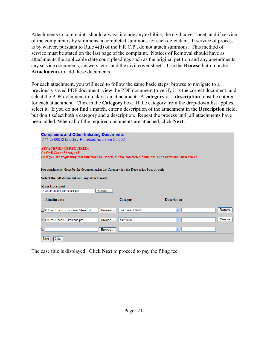Attachments to complaints should always include any exhibits, the civil cover sheet, and if service of the complaint is by summons, a completed summons for each defendant. If service of process is by waiver, pursuant to Rule 4(d) of the F.R.C.P., do not attach summons. This method of service must be stated on the last page of the complaint. Notices of Removal should have as attachments the applicable state court pleadings such as the original petition and any amendments, any service documents, answers, etc., and the civil cover sheet. Use the **Browse** button under **Attachments** to add these documents.

For each attachment, you will need to follow the same basic steps: browse to navigate to a previously saved PDF document; view the PDF document to verify it is the correct document; and select the PDF document to make it an attachment. A **category** or a **description** must be entered for each attachment. Click in the **Category** box. If the category from the drop-down list applies, select it. If you do not find a match, enter a description of the attachment in the **Description** field, but don't select both a category and a description. Repeat the process until all attachments have been added. When all of the required documents are attached, click **Next.**

| <b>Complaints and Other Initiating Documents</b><br>2:11-cv-00012 Lincoln v. Presidents Insurance Co LLC                                                                |                          |                    |        |
|-------------------------------------------------------------------------------------------------------------------------------------------------------------------------|--------------------------|--------------------|--------|
| <b>ATTACHMENTS REQUIRED:</b><br>(1) Civil Cover Sheet, and<br>(2) If you are requesting that Summons be issued, file the completed Summons as an additional attachment. |                          |                    |        |
| For attachments, describe the document using the Category list, the Description box, or both.                                                                           |                          |                    |        |
| Select the pdf document and any attachments.                                                                                                                            |                          |                    |        |
| <b>Main Document</b>                                                                                                                                                    |                          |                    |        |
| O:\Test\Lincoln complaint.pdf<br>Browse                                                                                                                                 |                          |                    |        |
| <b>Attachments</b>                                                                                                                                                      | Category                 | <b>Description</b> |        |
| 1. O:\Test\Lincoln Civil Cover Sheet.pdf<br>Browse                                                                                                                      | <b>Civil Cover Sheet</b> | v                  | Remove |
| 2. O:\Test\Lincoln Summons.pdf<br>Browse                                                                                                                                | Summons                  | $\checkmark$       | Remove |
| 3.<br>Browse                                                                                                                                                            |                          | v                  |        |
| Clear<br>Next                                                                                                                                                           |                          |                    |        |

The case title is displayed. Click **Next** to proceed to pay the filing fee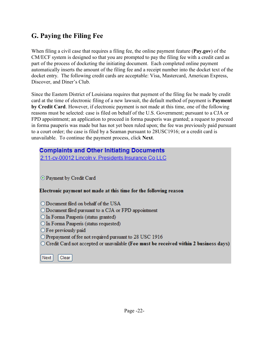#### **G. Paying the Filing Fee**

When filing a civil case that requires a filing fee, the online payment feature (**Pay.gov**) of the CM/ECF system is designed so that you are prompted to pay the filing fee with a credit card as part of the process of docketing the initiating document. Each completed online payment automatically inserts the amount of the filing fee and a receipt number into the docket text of the docket entry. The following credit cards are acceptable: Visa, Mastercard, American Express, Discover, and Diner's Club.

Since the Eastern District of Louisiana requires that payment of the filing fee be made by credit card at the time of electronic filing of a new lawsuit, the default method of payment is **Payment by Credit Card**. However, if electronic payment is not made at this time, one of the following reasons must be selected: case is filed on behalf of the U.S. Government; pursuant to a CJA or FPD appointment; an application to proceed in forma pauperis was granted; a request to proceed in forma pauperis was made but has not yet been ruled upon; the fee was previously paid pursuant to a court order; the case is filed by a Seaman pursuant to 28USC1916; or a credit card is unavailable. To continue the payment process, click **Next**.

#### **Complaints and Other Initiating Documents**

2:11-cv-00012 Lincoln v. Presidents Insurance Co LLC

**O** Payment by Credit Card

#### Electronic payment not made at this time for the following reason

- O Document filed on behalf of the USA
- $\bigcirc$  Document filed pursuant to a CJA or FPD appointment
- O In Forma Pauperis (status granted)
- O In Forma Pauperis (status requested)
- $\bigcirc$  Fee previously paid
- O Prepayment of fee not required pursuant to 28 USC 1916
- $\circ$  Credit Card not accepted or unavailable (Fee must be received within 2 business days)

Next Clear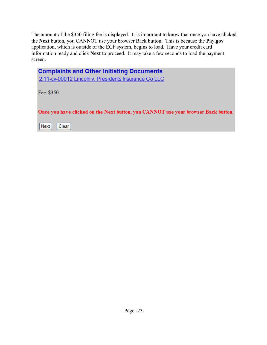The amount of the \$350 filing fee is displayed. It is important to know that once you have clicked the **Next** button, you CANNOT use your browser Back button. This is because the **Pay.gov** application, which is outside of the ECF system, begins to load. Have your credit card information ready and click **Next** to proceed. It may take a few seconds to load the payment screen.

| <b>Complaints and Other Initiating Documents</b><br>2:11-cv-00012 Lincoln v. Presidents Insurance Co LLC |
|----------------------------------------------------------------------------------------------------------|
| Fee: \$350                                                                                               |
| Once you have clicked on the Next button, you CANNOT use your browser Back button.                       |
| Next<br>Clear <sup>1</sup>                                                                               |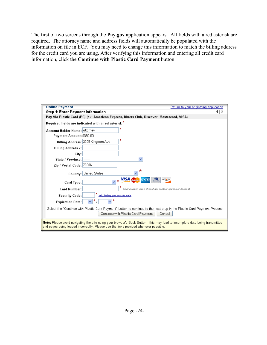The first of two screens through the **Pay.gov** application appears. All fields with a red asterisk are required. The attorney name and address fields will automatically be populated with the information on file in ECF. You may need to change this information to match the billing address for the credit card you are using. After verifying this information and entering all credit card information, click the **Continue with Plastic Card Payment** button.

| <b>Online Payment</b>                                                                | Return to your originating application                                                                                                                                   |
|--------------------------------------------------------------------------------------|--------------------------------------------------------------------------------------------------------------------------------------------------------------------------|
| Step 1: Enter Payment Information                                                    | 1 2                                                                                                                                                                      |
|                                                                                      | Pay Via Plastic Card (PC) (ex: American Express, Diners Club, Discover, Mastercard, VISA)                                                                                |
| Required fields are indicated with a red asterisk $^*$                               |                                                                                                                                                                          |
| Account Holder Name: attorney                                                        | ×.                                                                                                                                                                       |
| Payment Amount: \$350.00                                                             |                                                                                                                                                                          |
| Billing Address: 3005 Kingman Ave.                                                   | *                                                                                                                                                                        |
| <b>Billing Address 2:</b>                                                            |                                                                                                                                                                          |
| City:                                                                                |                                                                                                                                                                          |
| State / Province:                                                                    |                                                                                                                                                                          |
| Zip / Postal Code: 70006                                                             |                                                                                                                                                                          |
| Country: United States                                                               | *                                                                                                                                                                        |
| Card Type:                                                                           | <b>VISA</b> MEDICARD<br><b>DISCOVER</b><br><b>AMEX</b>                                                                                                                   |
| <b>Card Number:</b>                                                                  | (Card number value should not contain spaces or dashes)                                                                                                                  |
| Security Code:                                                                       | Help finding your security code                                                                                                                                          |
| 7<br><b>Expiration Date:</b>                                                         |                                                                                                                                                                          |
|                                                                                      | Select the "Continue with Plastic Card Payment" button to continue to the next step in the Plastic Card Payment Process.<br>Continue with Plastic Card Payment<br>Cancel |
| and pages being loaded incorrectly. Please use the links provided whenever possible. | Note: Please avoid navigating the site using your browser's Back Button - this may lead to incomplete data being transmitted                                             |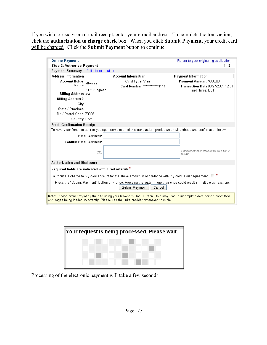If you wish to receive an e-mail receipt, enter your e-mail address. To complete the transaction, click the **authorization to charge check box**. When you click **Submit Payment**, your credit card will be charged. Click the **Submit Payment** button to continue.

| <b>Online Payment</b><br>Step 2: Authorize Payment                                                                                                                                                                   |                                                                                                                                                    | Return to your originating application<br>112     |
|----------------------------------------------------------------------------------------------------------------------------------------------------------------------------------------------------------------------|----------------------------------------------------------------------------------------------------------------------------------------------------|---------------------------------------------------|
| <b>Payment Summary</b><br>Edit this information                                                                                                                                                                      |                                                                                                                                                    |                                                   |
| <b>Address Information</b>                                                                                                                                                                                           | <b>Account Information</b>                                                                                                                         | <b>Payment Information</b>                        |
| <b>Account Holder</b> attorney                                                                                                                                                                                       | Card Type: Visa                                                                                                                                    | Payment Amount: \$350.00                          |
| Name:                                                                                                                                                                                                                | Card Number: *************1111                                                                                                                     | <b>Transaction Date 08/27/2009 12:51</b>          |
| 3005 Kingman<br><b>Billing Address: Ave.</b>                                                                                                                                                                         |                                                                                                                                                    | and Time: FDT                                     |
| <b>Billing Address 2:</b>                                                                                                                                                                                            |                                                                                                                                                    |                                                   |
| City:                                                                                                                                                                                                                |                                                                                                                                                    |                                                   |
| State / Province:                                                                                                                                                                                                    |                                                                                                                                                    |                                                   |
| Zip / Postal Code: 70006                                                                                                                                                                                             |                                                                                                                                                    |                                                   |
| Country: USA                                                                                                                                                                                                         |                                                                                                                                                    |                                                   |
| <b>Email Confirmation Receipt</b>                                                                                                                                                                                    |                                                                                                                                                    |                                                   |
| To have a confirmation sent to you upon completion of this transaction, provide an email address and confirmation below.                                                                                             |                                                                                                                                                    |                                                   |
| <b>Email Address:</b>                                                                                                                                                                                                |                                                                                                                                                    |                                                   |
| <b>Confirm Email Address:</b>                                                                                                                                                                                        |                                                                                                                                                    |                                                   |
|                                                                                                                                                                                                                      |                                                                                                                                                    |                                                   |
| CC:                                                                                                                                                                                                                  |                                                                                                                                                    | Separate multiple email addresses with a<br>comma |
|                                                                                                                                                                                                                      |                                                                                                                                                    |                                                   |
| <b>Authorization and Disclosure</b>                                                                                                                                                                                  |                                                                                                                                                    |                                                   |
| Required fields are indicated with a red asterisk *                                                                                                                                                                  |                                                                                                                                                    |                                                   |
|                                                                                                                                                                                                                      | I authorize a charge to my card account for the above amount in accordance with my card issuer agreement. $\Box$ *                                 |                                                   |
|                                                                                                                                                                                                                      | Press the "Submit Payment" Button only once. Pressing the button more than once could result in multiple transactions.<br>Submit Payment<br>Cancel |                                                   |
| Note: Please avoid navigating the site using your browser's Back Button - this may lead to incomplete data being transmitted<br>and pages being loaded incorrectly. Please use the links provided whenever possible. |                                                                                                                                                    |                                                   |

| Your request is being processed. Please wait. |
|-----------------------------------------------|
|                                               |
|                                               |
|                                               |
|                                               |

Processing of the electronic payment will take a few seconds.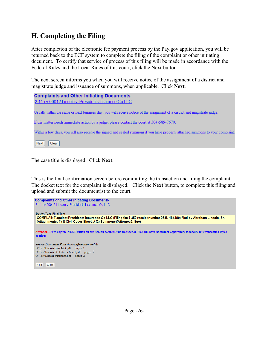## **H. Completing the Filing**

After completion of the electronic fee payment process by the Pay.gov application, you will be returned back to the ECF system to complete the filing of the complaint or other initiating document. To certify that service of process of this filing will be made in accordance with the Federal Rules and the Local Rules of this court, click the **Next** button.

The next screen informs you when you will receive notice of the assignment of a district and magistrate judge and issuance of summons, when applicable. Click **Next**.

| <b>Complaints and Other Initiating Documents</b>                                                                               |
|--------------------------------------------------------------------------------------------------------------------------------|
| 2:11-cv-00012 Lincoln v. Presidents Insurance Co LLC                                                                           |
| Usually within the same or next business day, you will receive notice of the assignment of a district and magistrate judge.    |
| If this matter needs immediate action by a judge, please contact the court at 504-589-7670.                                    |
| Within a few days, you will also receive the signed and sealed summons if you have properly attached summons to your complaint |
| Next<br>Clear                                                                                                                  |

The case title is displayed. Click **Next**.

This is the final confirmation screen before committing the transaction and filing the complaint. The docket text for the complaint is displayed. Click the **Next** button, to complete this filing and upload and submit the document(s) to the court.

| <b>Complaints and Other Initiating Documents</b>                                                                                                                                                 |
|--------------------------------------------------------------------------------------------------------------------------------------------------------------------------------------------------|
| 2:11-cv-00012 Lincoln v. Presidents Insurance Co LLC                                                                                                                                             |
|                                                                                                                                                                                                  |
| <b>Docket Text: Final Text</b>                                                                                                                                                                   |
| COMPLAINT against Presidents Insurance Co LLC (Filing fee \$350 receipt number 053L-184480) filed by Abraham Lincoln, Sr.<br>(Attachments: #(1) Civil Cover Sheet, #(2) Summons)(Attorney2, Sue) |
|                                                                                                                                                                                                  |
| Attention!! Pressing the NEXT button on this screen commits this transaction. You will have no further opportunity to modify this transaction if you<br>continue.                                |
| Source Document Path (for confirmation only):                                                                                                                                                    |
| O:\Test\Lincoln complaint.pdf pages: 1                                                                                                                                                           |
| O:\Test\Lincoln Civil Cover Sheet.pdf pages: 2                                                                                                                                                   |
| O:\Test\Lincoln Summons.pdf pages: 2                                                                                                                                                             |
|                                                                                                                                                                                                  |
| $\sqrt{\phantom{a}}$ Next<br>Clear                                                                                                                                                               |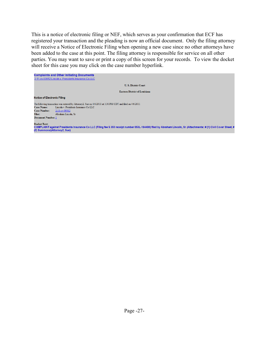This is a notice of electronic filing or NEF, which serves as your confirmation that ECF has registered your transaction and the pleading is now an official document. Only the filing attorney will receive a Notice of Electronic Filing when opening a new case since no other attorneys have been added to the case at this point. The filing attorney is responsible for service on all other parties. You may want to save or print a copy of this screen for your records. To view the docket sheet for this case you may click on the case number hyperlink.

| <b>Complaints and Other Initiating Documents</b>     |                                                                                                                                                                     |
|------------------------------------------------------|---------------------------------------------------------------------------------------------------------------------------------------------------------------------|
| 2:11-cv-00012 Lincoln v. Presidents Insurance Co LLC |                                                                                                                                                                     |
|                                                      | <b>U.S. District Court</b>                                                                                                                                          |
|                                                      | <b>Eastern District of Louisiana</b>                                                                                                                                |
| <b>Notice of Electronic Filing</b>                   |                                                                                                                                                                     |
|                                                      | The following transaction was entered by Attorney2, Sue on $4/6/2011$ at 3:36 PM CDT and filed on $4/6/2011$                                                        |
| <b>Case Name:</b>                                    | Lincoln v. Presidents Insurance Co LLC                                                                                                                              |
| <b>Case Number:</b><br>$2:11$ -cv-00012              |                                                                                                                                                                     |
| Abraham Lincoln, Sr<br>Filer:                        |                                                                                                                                                                     |
| <b>Document Number: 1</b>                            |                                                                                                                                                                     |
| Docket Text:<br>(2) Summons)(Attorney2, Sue)         | COMPLAINT against Presidents Insurance Co LLC (Filing fee \$ 350 receipt number 053L-184480) filed by Abraham Lincoln, Sr. (Attachments: # (1) Civil Cover Sheet, # |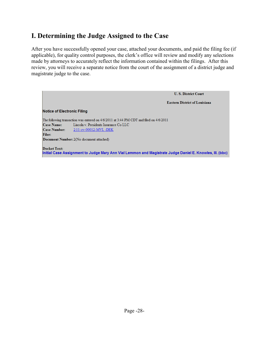### **I. Determining the Judge Assigned to the Case**

After you have successfully opened your case, attached your documents, and paid the filing fee (if applicable), for quality control purposes, the clerk's office will review and modify any selections made by attorneys to accurately reflect the information contained within the filings. After this review, you will receive a separate notice from the court of the assignment of a district judge and magistrate judge to the case.

**U.S. District Court Eastern District of Louisiana Notice of Electronic Filing** The following transaction was entered on 4/6/2011 at 3:44 PM CDT and filed on 4/6/2011 Case Name: Lincoln v. Presidents Insurance Co LLC  $\boxed{\textbf{Case Number:}}$  2:11-cv-00012-MVL -DEK Filer: Document Number: 2(No document attached) **Docket Text:** Initial Case Assignment to Judge Mary Ann Vial Lemmon and Magistrate Judge Daniel E. Knowles, III. (bbc)